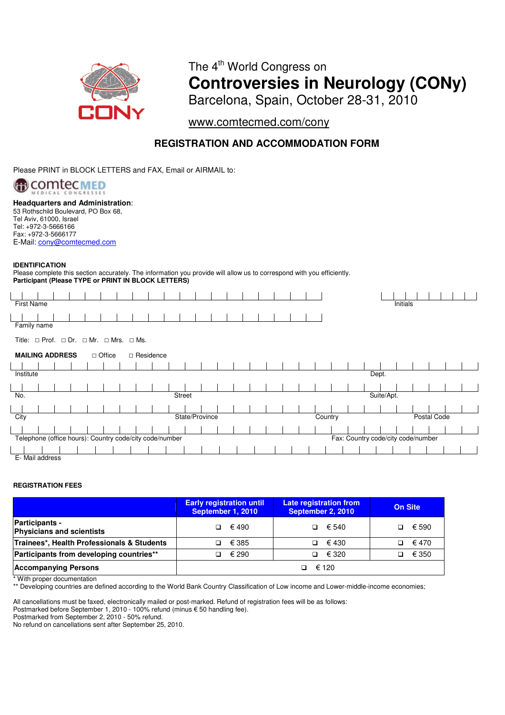

# The 4<sup>th</sup> World Congress on **Controversies in Neurology (CONy)**  Barcelona, Spain, October 28-31, 2010

www.comtecmed.com/cony

## **REGISTRATION AND ACCOMMODATION FORM**

Please PRINT in BLOCK LETTERS and FAX, Email or AIRMAIL to:



**Headquarters and Administration**: 53 Rothschild Boulevard, PO Box 68,

Tel Aviv, 61000, Israel Tel: +972-3-5666166 Fax: +972-3-5666177 E-Mail: cony@comtecmed.com

### **IDENTIFICATION**

Please complete this section accurately. The information you provide will allow us to correspond with you efficiently. **Participant (Please TYPE or PRINT IN BLOCK LETTERS)**

| Initials<br><b>First Name</b>                                                                 |                 |  |  |  |  |  |  |  |  |  |                |  |  |  |  |         |  |  |             |  |  |  |
|-----------------------------------------------------------------------------------------------|-----------------|--|--|--|--|--|--|--|--|--|----------------|--|--|--|--|---------|--|--|-------------|--|--|--|
|                                                                                               |                 |  |  |  |  |  |  |  |  |  |                |  |  |  |  |         |  |  |             |  |  |  |
| Family name                                                                                   |                 |  |  |  |  |  |  |  |  |  |                |  |  |  |  |         |  |  |             |  |  |  |
| Title: $\Box$ Prof. $\Box$ Dr. $\Box$ Mr. $\Box$ Mrs. $\Box$ Ms.                              |                 |  |  |  |  |  |  |  |  |  |                |  |  |  |  |         |  |  |             |  |  |  |
| <b>MAILING ADDRESS</b><br>□ Office<br>□ Residence                                             |                 |  |  |  |  |  |  |  |  |  |                |  |  |  |  |         |  |  |             |  |  |  |
|                                                                                               |                 |  |  |  |  |  |  |  |  |  |                |  |  |  |  |         |  |  |             |  |  |  |
| Institute<br>Dept.                                                                            |                 |  |  |  |  |  |  |  |  |  |                |  |  |  |  |         |  |  |             |  |  |  |
|                                                                                               |                 |  |  |  |  |  |  |  |  |  |                |  |  |  |  |         |  |  |             |  |  |  |
| Suite/Apt.<br>No.<br><b>Street</b>                                                            |                 |  |  |  |  |  |  |  |  |  |                |  |  |  |  |         |  |  |             |  |  |  |
|                                                                                               |                 |  |  |  |  |  |  |  |  |  |                |  |  |  |  |         |  |  |             |  |  |  |
| City                                                                                          |                 |  |  |  |  |  |  |  |  |  | State/Province |  |  |  |  | Country |  |  | Postal Code |  |  |  |
|                                                                                               |                 |  |  |  |  |  |  |  |  |  |                |  |  |  |  |         |  |  |             |  |  |  |
| Telephone (office hours): Country code/city code/number<br>Fax: Country code/city code/number |                 |  |  |  |  |  |  |  |  |  |                |  |  |  |  |         |  |  |             |  |  |  |
|                                                                                               |                 |  |  |  |  |  |  |  |  |  |                |  |  |  |  |         |  |  |             |  |  |  |
|                                                                                               | E- Mail address |  |  |  |  |  |  |  |  |  |                |  |  |  |  |         |  |  |             |  |  |  |

### **REGISTRATION FEES**

|                                                           | <b>Early registration until</b><br>September 1, 2010 | Late registration from<br>September 2, 2010 | <b>On Site</b> |
|-----------------------------------------------------------|------------------------------------------------------|---------------------------------------------|----------------|
| <b>Participants -</b><br><b>Physicians and scientists</b> | $\Box$ $\in$ 490                                     | € 540                                       | € 590          |
| Trainees*, Health Professionals & Students                | $\Box$ $\in$ 385                                     | $\Box$ $\in$ 430                            | € 470<br>n.    |
| Participants from developing countries**                  | $\Box$ $\in$ 290                                     | € 320                                       | € 350          |
| <b>Accompanying Persons</b>                               |                                                      | € 120                                       |                |

\* With proper documentation

\*\* Developing countries are defined according to the World Bank Country Classification of Low income and Lower-middle-income economies;

All cancellations must be faxed, electronically mailed or post-marked. Refund of registration fees will be as follows:

Postmarked before September 1, 2010 - 100% refund (minus € 50 handling fee).

Postmarked from September 2, 2010 - 50% refund.

No refund on cancellations sent after September 25, 2010.